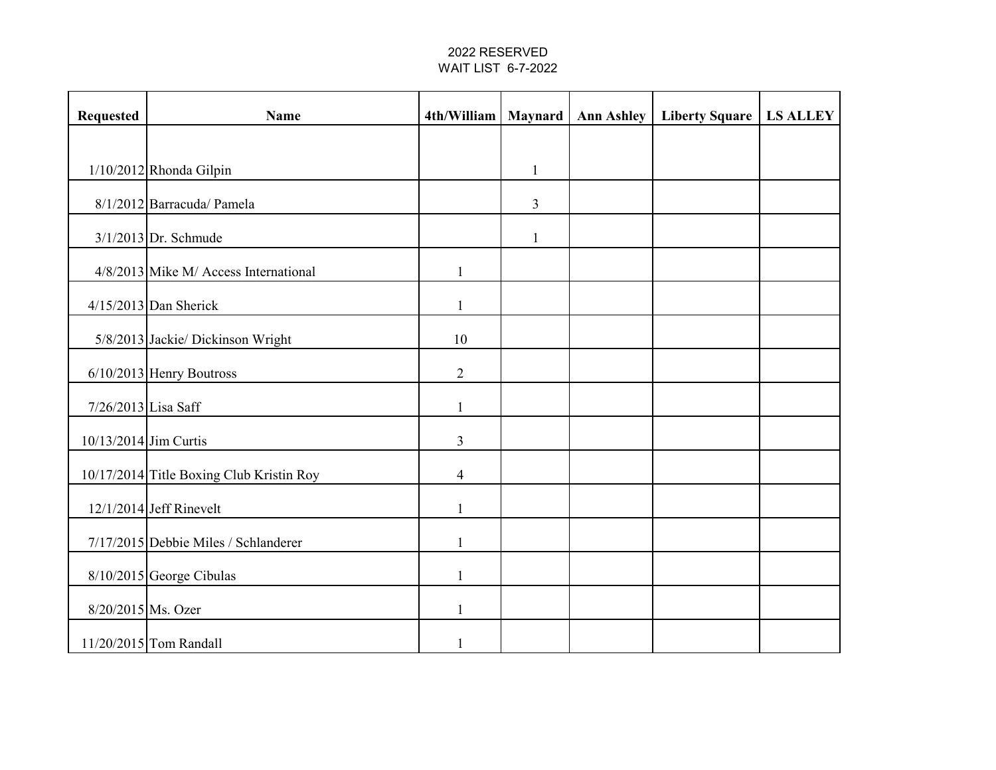## 2022 RESERVED WAIT LIST 6-7-2022

| <b>Requested</b>      | <b>Name</b>                              | 4th/William    | Maynard      | <b>Ann Ashley</b> | Liberty Square | <b>LS ALLEY</b> |
|-----------------------|------------------------------------------|----------------|--------------|-------------------|----------------|-----------------|
|                       |                                          |                |              |                   |                |                 |
|                       | 1/10/2012 Rhonda Gilpin                  |                | $\mathbf{1}$ |                   |                |                 |
|                       | 8/1/2012 Barracuda/ Pamela               |                | 3            |                   |                |                 |
|                       | $3/1/2013$ Dr. Schmude                   |                | 1            |                   |                |                 |
|                       | 4/8/2013 Mike M/ Access International    |                |              |                   |                |                 |
|                       | $4/15/2013$ Dan Sherick                  | 1              |              |                   |                |                 |
|                       | 5/8/2013 Jackie/ Dickinson Wright        | 10             |              |                   |                |                 |
|                       | 6/10/2013 Henry Boutross                 | $\overline{2}$ |              |                   |                |                 |
| 7/26/2013 Lisa Saff   |                                          | $\mathbf{1}$   |              |                   |                |                 |
| 10/13/2014 Jim Curtis |                                          | $\overline{3}$ |              |                   |                |                 |
|                       | 10/17/2014 Title Boxing Club Kristin Roy | $\overline{4}$ |              |                   |                |                 |
|                       | $12/1/2014$ Jeff Rinevelt                |                |              |                   |                |                 |
|                       | 7/17/2015 Debbie Miles / Schlanderer     | 1              |              |                   |                |                 |
|                       | $8/10/2015$ George Cibulas               | $\mathbf{1}$   |              |                   |                |                 |
| $8/20/2015$ Ms. Ozer  |                                          |                |              |                   |                |                 |
|                       | $11/20/2015$ Tom Randall                 |                |              |                   |                |                 |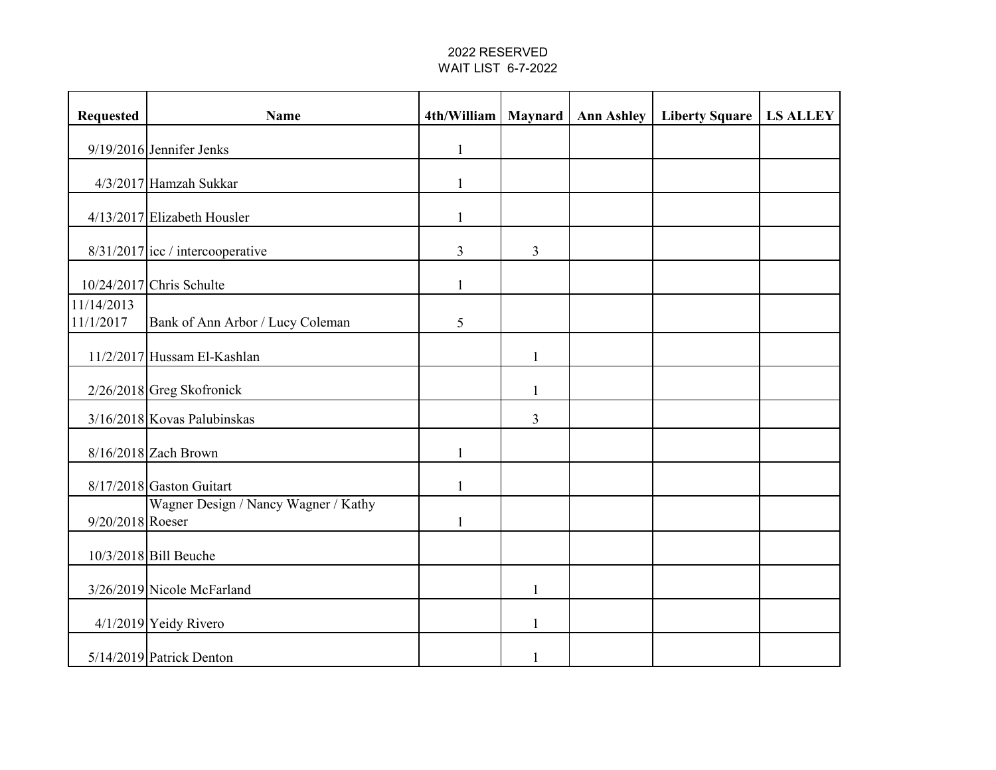## 2022 RESERVED WAIT LIST 6-7-2022

| <b>Requested</b>        | <b>Name</b>                          | 4th/William   Maynard |              | <b>Ann Ashley</b> | Liberty Square | <b>LS ALLEY</b> |
|-------------------------|--------------------------------------|-----------------------|--------------|-------------------|----------------|-----------------|
|                         | $9/19/2016$ Jennifer Jenks           | 1                     |              |                   |                |                 |
|                         | 4/3/2017 Hamzah Sukkar               | 1                     |              |                   |                |                 |
|                         | 4/13/2017 Elizabeth Housler          |                       |              |                   |                |                 |
|                         | 8/31/2017 icc / intercooperative     | 3                     | 3            |                   |                |                 |
|                         | $10/24/2017$ Chris Schulte           |                       |              |                   |                |                 |
| 11/14/2013<br>11/1/2017 | Bank of Ann Arbor / Lucy Coleman     | 5                     |              |                   |                |                 |
|                         | $11/2/2017$ Hussam El-Kashlan        |                       | 1            |                   |                |                 |
|                         | $2/26/2018$ Greg Skofronick          |                       | $\mathbf{1}$ |                   |                |                 |
|                         | 3/16/2018 Kovas Palubinskas          |                       | 3            |                   |                |                 |
|                         | 8/16/2018 Zach Brown                 | 1                     |              |                   |                |                 |
|                         | 8/17/2018 Gaston Guitart             |                       |              |                   |                |                 |
| 9/20/2018 Roeser        | Wagner Design / Nancy Wagner / Kathy | 1                     |              |                   |                |                 |
|                         | $10/3/2018$ Bill Beuche              |                       |              |                   |                |                 |
|                         | 3/26/2019 Nicole McFarland           |                       | 1            |                   |                |                 |
|                         | 4/1/2019 Yeidy Rivero                |                       | 1            |                   |                |                 |
|                         | $5/14/2019$ Patrick Denton           |                       | 1            |                   |                |                 |